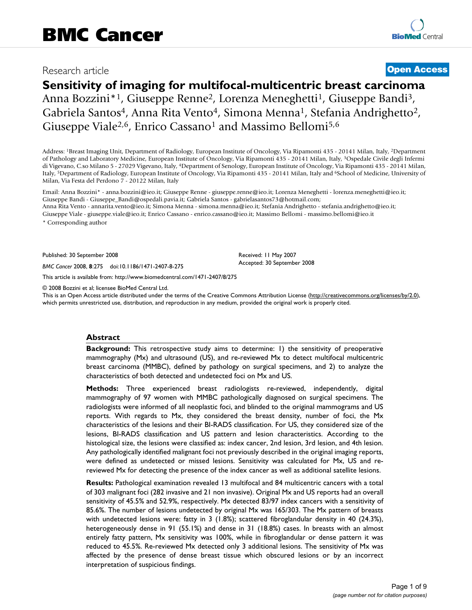# Research article **[Open Access](http://www.biomedcentral.com/info/about/charter/)**

# **Sensitivity of imaging for multifocal-multicentric breast carcinoma**

Anna Bozzini<sup>\*1</sup>, Giuseppe Renne<sup>2</sup>, Lorenza Meneghetti<sup>1</sup>, Giuseppe Bandi<sup>3</sup>, Gabriela Santos<sup>4</sup>, Anna Rita Vento<sup>4</sup>, Simona Menna<sup>1</sup>, Stefania Andrighetto<sup>2</sup>, Giuseppe Viale<sup>2,6</sup>, Enrico Cassano<sup>1</sup> and Massimo Bellomi<sup>5,6</sup>

Address: 1Breast Imaging Unit, Department of Radiology, European Institute of Oncology, Via Ripamonti 435 - 20141 Milan, Italy, 2Department of Pathology and Laboratory Medicine, European Institute of Oncology, Via Ripamonti 435 - 20141 Milan, Italy, 3Ospedale Civile degli Infermi di Vigevano, C.so Milano 5 - 27029 Vigevano, Italy, 4Department of Senology, European Institute of Oncology, Via Ripamonti 435 - 20141 Milan, Italy, 5Department of Radiology, European Institute of Oncology, Via Ripamonti 435 - 20141 Milan, Italy and 6School of Medicine, University of Milan, Via Festa del Perdono 7 - 20122 Milan, Italy

Email: Anna Bozzini\* - anna.bozzini@ieo.it; Giuseppe Renne - giuseppe.renne@ieo.it; Lorenza Meneghetti - lorenza.meneghetti@ieo.it; Giuseppe Bandi - Giuseppe\_Bandi@ospedali.pavia.it; Gabriela Santos - gabrielasantos73@hotmail.com; Anna Rita Vento - annarita.vento@ieo.it; Simona Menna - simona.menna@ieo.it; Stefania Andrighetto - stefania.andrighetto@ieo.it; Giuseppe Viale - giuseppe.viale@ieo.it; Enrico Cassano - enrico.cassano@ieo.it; Massimo Bellomi - massimo.bellomi@ieo.it

\* Corresponding author

Published: 30 September 2008

*BMC Cancer* 2008, **8**:275 doi:10.1186/1471-2407-8-275

[This article is available from: http://www.biomedcentral.com/1471-2407/8/275](http://www.biomedcentral.com/1471-2407/8/275)

© 2008 Bozzini et al; licensee BioMed Central Ltd.

This is an Open Access article distributed under the terms of the Creative Commons Attribution License [\(http://creativecommons.org/licenses/by/2.0\)](http://creativecommons.org/licenses/by/2.0), which permits unrestricted use, distribution, and reproduction in any medium, provided the original work is properly cited.

Received: 11 May 2007 Accepted: 30 September 2008

### **Abstract**

**Background:** This retrospective study aims to determine: 1) the sensitivity of preoperative mammography (Mx) and ultrasound (US), and re-reviewed Mx to detect multifocal multicentric breast carcinoma (MMBC), defined by pathology on surgical specimens, and 2) to analyze the characteristics of both detected and undetected foci on Mx and US.

**Methods:** Three experienced breast radiologists re-reviewed, independently, digital mammography of 97 women with MMBC pathologically diagnosed on surgical specimens. The radiologists were informed of all neoplastic foci, and blinded to the original mammograms and US reports. With regards to Mx, they considered the breast density, number of foci, the Mx characteristics of the lesions and their BI-RADS classification. For US, they considered size of the lesions, BI-RADS classification and US pattern and lesion characteristics. According to the histological size, the lesions were classified as: index cancer, 2nd lesion, 3rd lesion, and 4th lesion. Any pathologically identified malignant foci not previously described in the original imaging reports, were defined as undetected or missed lesions. Sensitivity was calculated for Mx, US and rereviewed Mx for detecting the presence of the index cancer as well as additional satellite lesions.

**Results:** Pathological examination revealed 13 multifocal and 84 multicentric cancers with a total of 303 malignant foci (282 invasive and 21 non invasive). Original Mx and US reports had an overall sensitivity of 45.5% and 52.9%, respectively. Mx detected 83/97 index cancers with a sensitivity of 85.6%. The number of lesions *un*detected by original Mx was 165/303. The Mx pattern of breasts with undetected lesions were: fatty in 3 (1.8%); scattered fibroglandular density in 40 (24.3%), heterogeneously dense in 91 (55.1%) and dense in 31 (18.8%) cases. In breasts with an almost entirely fatty pattern, Mx sensitivity was 100%, while in fibroglandular or dense pattern it was reduced to 45.5%. Re-reviewed Mx detected only 3 additional lesions. The sensitivity of Mx was affected by the presence of dense breast tissue which obscured lesions or by an incorrect interpretation of suspicious findings.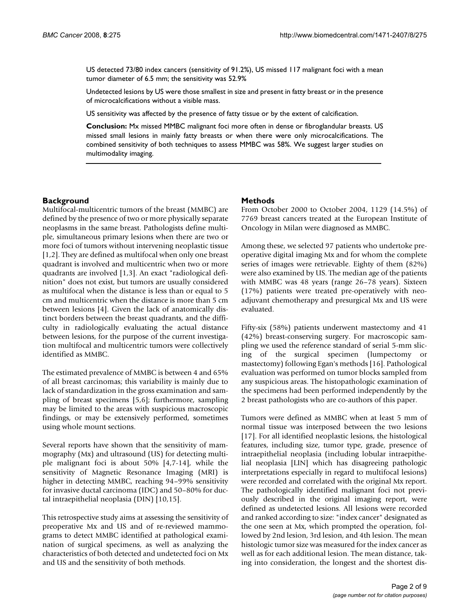US detected 73/80 index cancers (sensitivity of 91.2%), US missed 117 malignant foci with a mean tumor diameter of 6.5 mm; the sensitivity was 52.9%

Undetected lesions by US were those smallest in size and present in fatty breast or in the presence of microcalcifications without a visible mass.

US sensitivity was affected by the presence of fatty tissue or by the extent of calcification.

**Conclusion:** Mx missed MMBC malignant foci more often in dense or fibroglandular breasts. US missed small lesions in mainly fatty breasts or when there were only microcalcifications. The combined sensitivity of both techniques to assess MMBC was 58%. We suggest larger studies on multimodality imaging.

## **Background**

Multifocal-multicentric tumors of the breast (MMBC) are defined by the presence of two or more physically separate neoplasms in the same breast. Pathologists define multiple, simultaneous primary lesions when there are two or more foci of tumors without intervening neoplastic tissue [1,2]. They are defined as multifocal when only one breast quadrant is involved and multicentric when two or more quadrants are involved [1,3]. An exact "radiological definition" does not exist, but tumors are usually considered as multifocal when the distance is less than or equal to 5 cm and multicentric when the distance is more than 5 cm between lesions [4]. Given the lack of anatomically distinct borders between the breast quadrants, and the difficulty in radiologically evaluating the actual distance between lesions, for the purpose of the current investigation multifocal and multicentric tumors were collectively identified as MMBC.

The estimated prevalence of MMBC is between 4 and 65% of all breast carcinomas; this variability is mainly due to lack of standardization in the gross examination and sampling of breast specimens [5,6]; furthermore, sampling may be limited to the areas with suspicious macroscopic findings, or may be extensively performed, sometimes using whole mount sections.

Several reports have shown that the sensitivity of mammography (Mx) and ultrasound (US) for detecting multiple malignant foci is about 50% [4,7-14], while the sensitivity of Magnetic Resonance Imaging (MRI) is higher in detecting MMBC, reaching 94–99% sensitivity for invasive ductal carcinoma (IDC) and 50–80% for ductal intraepithelial neoplasia (DIN) [10,15].

This retrospective study aims at assessing the sensitivity of preoperative Mx and US and of re-reviewed mammograms to detect MMBC identified at pathological examination of surgical specimens, as well as analyzing the characteristics of both detected and undetected foci on Mx and US and the sensitivity of both methods.

# **Methods**

From October 2000 to October 2004, 1129 (14.5%) of 7769 breast cancers treated at the European Institute of Oncology in Milan were diagnosed as MMBC.

Among these, we selected 97 patients who undertoke preoperative digital imaging Mx and for whom the complete series of images were retrievable. Eighty of them (82%) were also examined by US. The median age of the patients with MMBC was 48 years (range 26–78 years). Sixteen (17%) patients were treated pre-operatively with neoadjuvant chemotherapy and presurgical Mx and US were evaluated.

Fifty-six (58%) patients underwent mastectomy and 41 (42%) breast-conserving surgery. For macroscopic sampling we used the reference standard of serial 5-mm slicing of the surgical specimen (lumpectomy or mastectomy) following Egan's methods [16]. Pathological evaluation was performed on tumor blocks sampled from any suspicious areas. The histopathologic examination of the specimens had been performed independently by the 2 breast pathologists who are co-authors of this paper.

Tumors were defined as MMBC when at least 5 mm of normal tissue was interposed between the two lesions [17]. For all identified neoplastic lesions, the histological features, including size, tumor type, grade, presence of intraepithelial neoplasia (including lobular intraepithelial neoplasia [LIN] which has disagreeing pathologic interpretations especially in regard to multifocal lesions) were recorded and correlated with the original Mx report. The pathologically identified malignant foci not previously described in the original imaging report, were defined as undetected lesions. All lesions were recorded and ranked according to size: "index cancer" designated as the one seen at Mx, which prompted the operation, followed by 2nd lesion, 3rd lesion, and 4th lesion. The mean histologic tumor size was measured for the index cancer as well as for each additional lesion. The mean distance, taking into consideration, the longest and the shortest dis-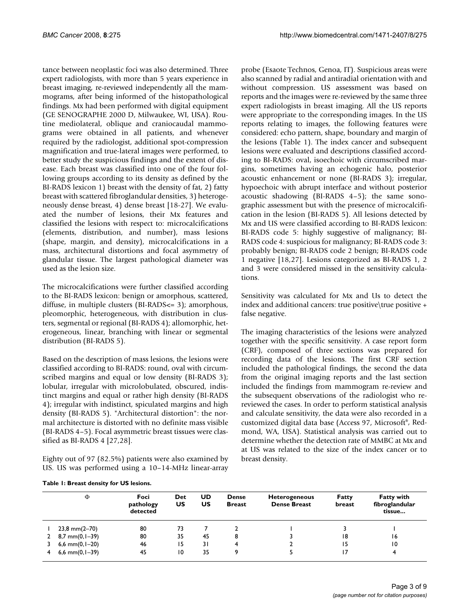tance between neoplastic foci was also determined. Three expert radiologists, with more than 5 years experience in breast imaging, re-reviewed independently all the mammograms, after being informed of the histopathological findings. Mx had been performed with digital equipment (GE SENOGRAPHE 2000 D, Milwaukee, WI, USA). Routine mediolateral, oblique and craniocaudal mammograms were obtained in all patients, and whenever required by the radiologist, additional spot-compression magnification and true-lateral images were performed, to better study the suspicious findings and the extent of disease. Each breast was classified into one of the four following groups according to its density as defined by the BI-RADS lexicon 1) breast with the density of fat, 2) fatty breast with scattered fibroglandular densities, 3) heterogeneously dense breast, 4) dense breast [18-27]. We evaluated the number of lesions, their Mx features and classified the lesions with respect to: microcalcifications (elements, distribution, and number), mass lesions (shape, margin, and density), microcalcifications in a mass, architectural distortions and focal asymmetry of glandular tissue. The largest pathological diameter was used as the lesion size.

The microcalcifications were further classified according to the BI-RADS lexicon: benign or amorphous, scattered, diffuse, in multiple clusters (BI-RADS<= 3); amorphous, pleomorphic, heterogeneous, with distribution in clusters, segmental or regional (BI-RADS 4); allomorphic, heterogeneous, linear, branching with linear or segmental distribution (BI-RADS 5).

Based on the description of mass lesions, the lesions were classified according to BI-RADS: round, oval with circumscribed margins and equal or low density (BI-RADS 3); lobular, irregular with microlobulated, obscured, indistinct margins and equal or rather high density (BI-RADS 4); irregular with indistinct, spiculated margins and high density (BI-RADS 5). "Architectural distortion": the normal architecture is distorted with no definite mass visible (BI-RADS 4–5). Focal asymmetric breast tissues were classified as BI-RADS 4 [27,28].

Eighty out of 97 (82.5%) patients were also examined by US. US was performed using a 10–14-MHz linear-array probe (Esaote Technos, Genoa, IT). Suspicious areas were also scanned by radial and antiradial orientation with and without compression. US assessment was based on reports and the images were re-reviewed by the same three expert radiologists in breast imaging. All the US reports were appropriate to the corresponding images. In the US reports relating to images, the following features were considered: echo pattern, shape, boundary and margin of the lesions (Table 1). The index cancer and subsequent lesions were evaluated and descriptions classified according to BI-RADS: oval, isoechoic with circumscribed margins, sometimes having an echogenic halo, posterior acoustic enhancement or none (BI-RADS 3); irregular, hypoechoic with abrupt interface and without posterior acoustic shadowing (BI-RADS 4–5); the same sonographic assessment but with the presence of microcalcification in the lesion (BI-RADS 5). All lesions detected by Mx and US were classified according to BI-RADS lexicon: BI-RADS code 5: highly suggestive of malignancy; BI-RADS code 4: suspicious for malignancy; BI-RADS code 3: probably benign; BI-RADS code 2 benign; BI-RADS code 1 negative [18,27]. Lesions categorized as BI-RADS 1, 2 and 3 were considered missed in the sensitivity calculations.

Sensitivity was calculated for Mx and Us to detect the index and additional cancers: true positive\true positive + false negative.

The imaging characteristics of the lesions were analyzed together with the specific sensitivity. A case report form (CRF), composed of three sections was prepared for recording data of the lesions. The first CRF section included the pathological findings, the second the data from the original imaging reports and the last section included the findings from mammogram re-review and the subsequent observations of the radiologist who rereviewed the cases. In order to perform statistical analysis and calculate sensitivity, the data were also recorded in a customized digital data base (Access 97, Microsoft®, Redmond, WA, USA). Statistical analysis was carried out to determine whether the detection rate of MMBC at Mx and at US was related to the size of the index cancer or to breast density.

|  |  |  | Table 1: Breast density for US lesions. |  |  |  |
|--|--|--|-----------------------------------------|--|--|--|
|--|--|--|-----------------------------------------|--|--|--|

|   | Φ                         | Foci<br>pathology<br>detected | Det<br>US | UD<br>US | Dense<br><b>Breast</b> | <b>Heterogeneous</b><br><b>Dense Breast</b> | Fatty<br>breast | <b>Fatty with</b><br>fibroglandular<br>tissue |
|---|---------------------------|-------------------------------|-----------|----------|------------------------|---------------------------------------------|-----------------|-----------------------------------------------|
|   | $23,8 \text{ mm}(2 - 70)$ | 80                            | 73        |          |                        |                                             |                 |                                               |
| 2 | $8,7 \text{ mm}(0, 1-39)$ | 80                            | 35        | 45       | 8                      |                                             | 18              | 16                                            |
|   | 6,6 mm $(0, 1-20)$        | 46                            | 15        | 31       | 4                      |                                             | 15              | $\overline{10}$                               |
| 4 | 6,6 mm $(0, 1-39)$        | 45                            | 10        | 35       | 9                      |                                             | 17              | 4                                             |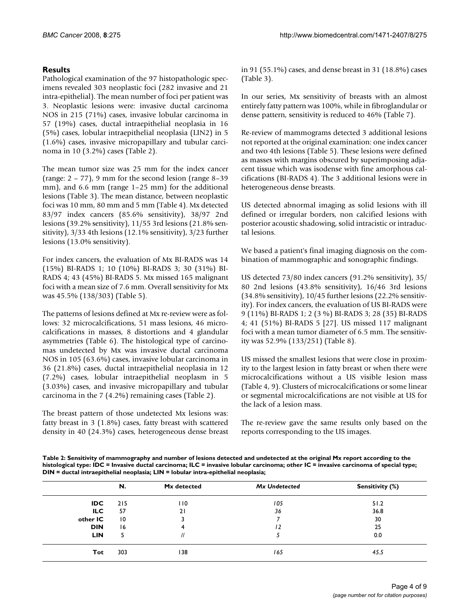# **Results**

Pathological examination of the 97 histopathologic specimens revealed 303 neoplastic foci (282 invasive and 21 intra-epithelial). The mean number of foci per patient was 3. Neoplastic lesions were: invasive ductal carcinoma NOS in 215 (71%) cases, invasive lobular carcinoma in 57 (19%) cases, ductal intraepithelial neoplasia in 16 (5%) cases, lobular intraepithelial neoplasia (LIN2) in 5 (1.6%) cases, invasive micropapillary and tubular carcinoma in 10 (3.2%) cases (Table 2).

The mean tumor size was 25 mm for the index cancer (range: 2 – 77), 9 mm for the second lesion (range 8–39 mm), and 6.6 mm (range 1–25 mm) for the additional lesions (Table 3). The mean distance, between neoplastic foci was 10 mm, 80 mm and 5 mm (Table 4). Mx detected 83/97 index cancers (85.6% sensitivity), 38/97 2nd lesions (39.2% sensitivity), 11/55 3rd lesions (21.8% sensitivity), 3/33 4th lesions (12.1% sensitivity), 3/23 further lesions (13.0% sensitivity).

For index cancers, the evaluation of Mx BI-RADS was 14 (15%) BI-RADS 1; 10 (10%) BI-RADS 3; 30 (31%) BI-RADS 4; 43 (45%) BI-RADS 5. Mx missed 165 malignant foci with a mean size of 7.6 mm. Overall sensitivity for Mx was 45.5% (138/303) (Table 5).

The patterns of lesions defined at Mx re-review were as follows: 32 microcalcifications, 51 mass lesions, 46 microcalcifications in masses, 8 distortions and 4 glandular asymmetries (Table 6). The histological type of carcinomas undetected by Mx was invasive ductal carcinoma NOS in 105 (63.6%) cases, invasive lobular carcinoma in 36 (21.8%) cases, ductal intraepithelial neoplasia in 12 (7.2%) cases, lobular intraepithelial neoplasm in 5 (3.03%) cases, and invasive micropapillary and tubular carcinoma in the 7 (4.2%) remaining cases (Table 2).

The breast pattern of those undetected Mx lesions was: fatty breast in 3 (1.8%) cases, fatty breast with scattered density in 40 (24.3%) cases, heterogeneous dense breast in 91 (55.1%) cases, and dense breast in 31 (18.8%) cases (Table 3).

In our series, Mx sensitivity of breasts with an almost entirely fatty pattern was 100%, while in fibroglandular or dense pattern, sensitivity is reduced to 46% (Table 7).

Re-review of mammograms detected 3 additional lesions not reported at the original examination: one index cancer and two 4th lesions (Table 5). These lesions were defined as masses with margins obscured by superimposing adjacent tissue which was isodense with fine amorphous calcifications (BI-RADS 4). The 3 additional lesions were in heterogeneous dense breasts.

US detected abnormal imaging as solid lesions with ill defined or irregular borders, non calcified lesions with posterior acoustic shadowing, solid intracistic or intraductal lesions.

We based a patient's final imaging diagnosis on the combination of mammographic and sonographic findings.

US detected 73/80 index cancers (91.2% sensitivity), 35/ 80 2nd lesions (43.8% sensitivity), 16/46 3rd lesions (34.8% sensitivity), 10/45 further lesions (22.2% sensitivity). For index cancers, the evaluation of US BI-RADS were 9 (11%) BI-RADS 1; 2 (3 %) BI-RADS 3; 28 (35) BI-RADS 4; 41 (51%) BI-RADS 5 [27]. US missed 117 malignant foci with a mean tumor diameter of 6.5 mm. The sensitivity was 52.9% (133/251) (Table 8).

US missed the smallest lesions that were close in proximity to the largest lesion in fatty breast or when there were microcalcifications without a US visible lesion mass (Table 4, 9). Clusters of microcalcifications or some linear or segmental microcalcifications are not visible at US for the lack of a lesion mass.

The re-review gave the same results only based on the reports corresponding to the US images.

**Table 2: Sensitivity of mammography and number of lesions detected and undetected at the original Mx report according to the histological type: IDC = Invasive ductal carcinoma; ILC = invasive lobular carcinoma; other IC = invasive carcinoma of special type; DIN = ductal intraepithelial neoplasia; LIN = lobular intra-epithelial neoplasia;**

|            | N.              | Mx detected | <b>Mx Undetected</b> | Sensitivity (%) |
|------------|-----------------|-------------|----------------------|-----------------|
| <b>IDC</b> | 215             | 110         | 105                  | 51.2            |
| <b>ILC</b> | 57              | 21          | 36                   | 36.8            |
| other IC   | $\overline{10}$ |             |                      | 30              |
| <b>DIN</b> | 16              |             | 12                   | 25              |
| <b>LIN</b> | 5               |             |                      | 0.0             |
| <b>Tot</b> | 303             | 138         | 165                  | 45.5            |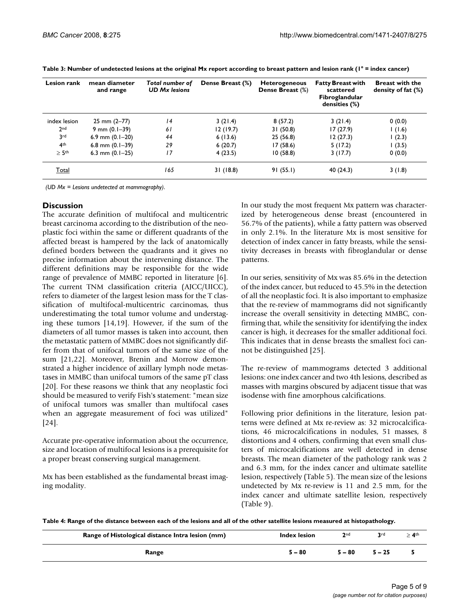| <b>Lesion rank</b> | mean diameter<br>and range | Total number of<br><b>UD Mx lesions</b> | Dense Breast (%) | <b>Heterogeneous</b><br>Dense Breast (%) | <b>Fatty Breast with</b><br>scattered<br><b>Fibroglandular</b><br>densities (%) | <b>Breast with the</b><br>density of fat (%) |
|--------------------|----------------------------|-----------------------------------------|------------------|------------------------------------------|---------------------------------------------------------------------------------|----------------------------------------------|
| index lesion       | $25 \text{ mm} (2 - 77)$   | $\overline{14}$                         | 3(21.4)          | 8(57.2)                                  | 3(21.4)                                                                         | 0(0.0)                                       |
| 2 <sub>nd</sub>    | $9$ mm $(0.1 - 39)$        | 61                                      | 12(19.7)         | 31(50.8)                                 | 17(27.9)                                                                        | 1(1.6)                                       |
| 3rd                | 6.9 mm $(0.1-20)$          | 44                                      | 6(13.6)          | 25(56.8)                                 | 12(27.3)                                                                        | 1(2.3)                                       |
| 4 <sup>th</sup>    | 6.8 mm $(0.1-39)$          | 29                                      | 6(20.7)          | 17(58.6)                                 | 5(17.2)                                                                         | 1(3.5)                                       |
| > 5 <sup>th</sup>  | 6.3 mm $(0.1-25)$          | 17                                      | 4(23.5)          | 10(58.8)                                 | 3(17.7)                                                                         | 0(0.0)                                       |
| Total              |                            | 165                                     | 31(18.8)         | 91(55.1)                                 | 40 (24.3)                                                                       | 3(1.8)                                       |

**Table 3: Number of undetected lesions at the original Mx report according to breast pattern and lesion rank (1° = index cancer)**

*(UD Mx = Lesions undetected at mammography)*.

# **Discussion**

The accurate definition of multifocal and multicentric breast carcinoma according to the distribution of the neoplastic foci within the same or different quadrants of the affected breast is hampered by the lack of anatomically defined borders between the quadrants and it gives no precise information about the intervening distance. The different definitions may be responsible for the wide range of prevalence of MMBC reported in literature [6]. The current TNM classification criteria (AJCC/UICC), refers to diameter of the largest lesion mass for the T classification of multifocal-multicentric carcinomas, thus underestimating the total tumor volume and understaging these tumors [14,19]. However, if the sum of the diameters of all tumor masses is taken into account, then the metastatic pattern of MMBC does not significantly differ from that of unifocal tumors of the same size of the sum [21,22]. Moreover, Brenin and Morrow demonstrated a higher incidence of axillary lymph node metastases in MMBC than unifocal tumors of the same pT class [20]. For these reasons we think that any neoplastic foci should be measured to verify Fish's statement: "mean size of unifocal tumors was smaller than multifocal cases when an aggregate measurement of foci was utilized" [24].

Accurate pre-operative information about the occurrence, size and location of multifocal lesions is a prerequisite for a proper breast conserving surgical management.

Mx has been established as the fundamental breast imaging modality.

In our study the most frequent Mx pattern was characterized by heterogeneous dense breast (encountered in 56.7% of the patients), while a fatty pattern was observed in only 2.1%. In the literature Mx is most sensitive for detection of index cancer in fatty breasts, while the sensitivity decreases in breasts with fibroglandular or dense patterns.

In our series, sensitivity of Mx was 85.6% in the detection of the index cancer, but reduced to 45.5% in the detection of all the neoplastic foci. It is also important to emphasize that the re-review of mammograms did not significantly increase the overall sensitivity in detecting MMBC, confirming that, while the sensitivity for identifying the index cancer is high, it decreases for the smaller additional foci. This indicates that in dense breasts the smallest foci cannot be distinguished [25].

The re-review of mammograms detected 3 additional lesions: one index cancer and two 4th lesions, described as masses with margins obscured by adjacent tissue that was isodense with fine amorphous calcifications.

Following prior definitions in the literature, lesion patterns were defined at Mx re-review as: 32 microcalcifications, 46 microcalcifications in nodules, 51 masses, 8 distortions and 4 others, confirming that even small clusters of microcalcifications are well detected in dense breasts. The mean diameter of the pathology rank was 2 and 6.3 mm, for the index cancer and ultimate satellite lesion, respectively (Table 5). The mean size of the lesions undetected by Mx re-review is 11 and 2.5 mm, for the index cancer and ultimate satellite lesion, respectively (Table 9).

**Table 4: Range of the distance between each of the lesions and all of the other satellite lesions measured at histopathology.**

| Range of Histological distance Intra lesion (mm) | Index lesion | 2nd      | 3rd      | $> 4$ th |
|--------------------------------------------------|--------------|----------|----------|----------|
| Range                                            | $5 - 80$     | $5 - 80$ | $5 - 25$ |          |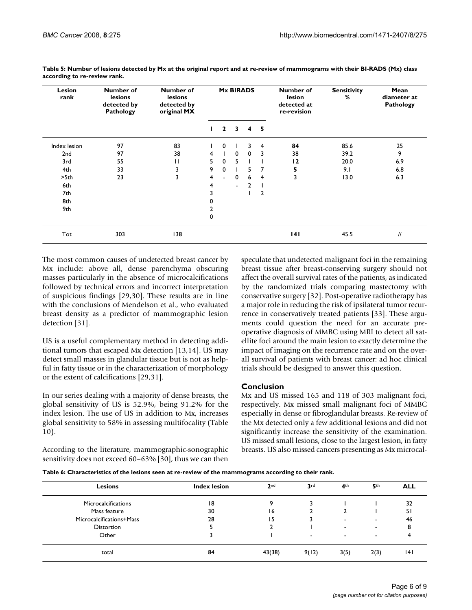| Lesion<br>rank | Number of<br><b>lesions</b><br>detected by<br>Pathology | Number of<br>lesions<br>detected by<br>original MX |                |              | <b>Mx BIRADS</b> |                |                | Number of<br>lesion<br>detected at<br>re-revision | <b>Sensitivity</b><br>% | Mean<br>diameter at<br>Pathology |
|----------------|---------------------------------------------------------|----------------------------------------------------|----------------|--------------|------------------|----------------|----------------|---------------------------------------------------|-------------------------|----------------------------------|
|                |                                                         |                                                    | Ι.             | $\mathbf{2}$ | 3                | 4 5            |                |                                                   |                         |                                  |
| Index lesion   | 97                                                      | 83                                                 |                | $\mathbf 0$  |                  | 3              | $\overline{4}$ | 84                                                | 85.6                    | 25                               |
| 2nd            | 97                                                      | 38                                                 | 4              |              | $\mathbf 0$      | $\Omega$       | -3             | 38                                                | 39.2                    | 9                                |
| 3rd            | 55                                                      | $\mathbf{H}$                                       | 5              | $\mathbf 0$  | 5.               |                |                | 12                                                | 20.0                    | 6.9                              |
| 4th            | 33                                                      | 3                                                  | 9              | 0            |                  | 5.             | 7              | 5                                                 | 9.1                     | 6.8                              |
| >5th           | 23                                                      | 3                                                  | $\overline{4}$ | $\sim$       | $\mathbf 0$      | 6              | $\overline{4}$ | 3                                                 | 13.0                    | 6.3                              |
| 6th            |                                                         |                                                    | 4              |              | $\sim$           | $\overline{2}$ |                |                                                   |                         |                                  |
| 7th            |                                                         |                                                    | 3              |              |                  |                | $\overline{2}$ |                                                   |                         |                                  |
| 8th            |                                                         |                                                    | 0              |              |                  |                |                |                                                   |                         |                                  |
| 9th            |                                                         |                                                    | 2              |              |                  |                |                |                                                   |                         |                                  |
|                |                                                         |                                                    | 0              |              |                  |                |                |                                                   |                         |                                  |
| Tot            | 303                                                     | 138                                                |                |              |                  |                |                | 141                                               | 45.5                    | $\mathcal{U}$                    |

**Table 5: Number of lesions detected by Mx at the original report and at re-review of mammograms with their BI-RADS (Mx) class according to re-review rank.**

The most common causes of undetected breast cancer by Mx include: above all, dense parenchyma obscuring masses particularly in the absence of microcalcifications followed by technical errors and incorrect interpretation of suspicious findings [29,30]. These results are in line with the conclusions of Mendelson et al., who evaluated breast density as a predictor of mammographic lesion detection [31].

US is a useful complementary method in detecting additional tumors that escaped Mx detection [13,14]. US may detect small masses in glandular tissue but is not as helpful in fatty tissue or in the characterization of morphology or the extent of calcifications [29,31].

In our series dealing with a majority of dense breasts, the global sensitivity of US is 52.9%, being 91.2% for the index lesion. The use of US in addition to Mx, increases global sensitivity to 58% in assessing multifocality (Table 10).

According to the literature, mammographic-sonographic sensitivity does not exceed 60–63% [30], thus we can then speculate that undetected malignant foci in the remaining breast tissue after breast-conserving surgery should not affect the overall survival rates of the patients, as indicated by the randomized trials comparing mastectomy with conservative surgery [32]. Post-operative radiotherapy has a major role in reducing the risk of ipsilateral tumor recurrence in conservatively treated patients [33]. These arguments could question the need for an accurate preoperative diagnosis of MMBC using MRI to detect all satellite foci around the main lesion to exactly determine the impact of imaging on the recurrence rate and on the overall survival of patients with breast cancer: ad hoc clinical trials should be designed to answer this question.

# **Conclusion**

Mx and US missed 165 and 118 of 303 malignant foci, respectively. Mx missed small malignant foci of MMBC especially in dense or fibroglandular breasts. Re-review of the Mx detected only a few additional lesions and did not significantly increase the sensitivity of the examination. US missed small lesions, close to the largest lesion, in fatty breasts. US also missed cancers presenting as Mx microcal-

|  | Table 6: Characteristics of the lesions seen at re-review of the mammograms according to their rank. |  |  |
|--|------------------------------------------------------------------------------------------------------|--|--|

| <b>Lesions</b>             | <b>Index lesion</b> | 2 <sub>nd</sub> | 3rd                      | 4 <sup>th</sup> | 5 <sup>th</sup> | <b>ALL</b> |
|----------------------------|---------------------|-----------------|--------------------------|-----------------|-----------------|------------|
| <b>Microcalcifications</b> | 18                  | 9               |                          |                 |                 | 32         |
| Mass feature               | 30                  | 16              |                          |                 |                 | 51         |
| Microcalcifications+Mass   | 28                  | 15              |                          | -               | -               | 46         |
| Distortion                 |                     |                 |                          | -               | -               |            |
| Other                      |                     |                 | $\overline{\phantom{a}}$ | $\,$            | -               |            |
| total                      | 84                  | 43(38)          | 9(12)                    | 3(5)            | 2(3)            | ا 4        |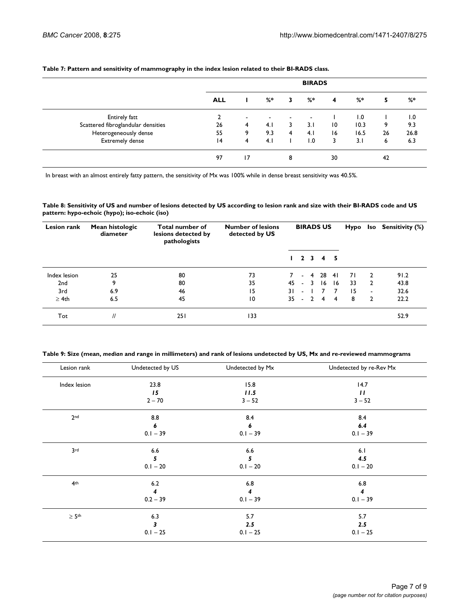|                                    |            |                          |                          |   | <b>BIRADS</b>    |                 |      |    |                  |
|------------------------------------|------------|--------------------------|--------------------------|---|------------------|-----------------|------|----|------------------|
|                                    | <b>ALL</b> |                          | %*                       | 3 | %*               | 4               | %*   | 5  | $%$ *            |
| Entirely fatt                      | າ          | $\overline{\phantom{a}}$ | $\overline{\phantom{0}}$ |   |                  |                 | 1.0  |    | $\overline{0}$ . |
| Scattered fibroglandular densities | 26         | 4                        | 4.1                      | 3 | 3.1              | $\overline{10}$ | 10.3 | 9  | 9.3              |
| Heterogeneously dense              | 55         | 9                        | 9.3                      | 4 | 4.1              | 16              | 16.5 | 26 | 26.8             |
| <b>Extremely dense</b>             | 4          | 4                        | 4.1                      |   | $\overline{0}$ . | 3               | 3.1  | 6  | 6.3              |
|                                    | 97         | 17                       |                          | 8 |                  | 30              |      | 42 |                  |

#### **Table 7: Pattern and sensitivity of mammography in the index lesion related to their BI-RADS class.**

In breast with an almost entirely fatty pattern, the sensitivity of Mx was 100% while in dense breast sensitivity was 40.5%.

**Table 8: Sensitivity of US and number of lesions detected by US according to lesion rank and size with their BI-RADS code and US pattern: hypo-echoic (hypo); iso-echoic (iso)**

| <b>Lesion rank</b> | Mean histologic<br>diameter | Total number of<br>lesions detected by<br>pathologists | <b>Number of lesions</b><br>detected by US |     |                |                     | <b>BIRADS US</b> |                | Hypo | Iso            | <b>Sensitivity (%)</b> |
|--------------------|-----------------------------|--------------------------------------------------------|--------------------------------------------|-----|----------------|---------------------|------------------|----------------|------|----------------|------------------------|
|                    |                             |                                                        |                                            |     |                | $1 \quad 2 \quad 3$ |                  | 45             |      |                |                        |
| Index lesion       | 25                          | 80                                                     | 73                                         |     | $\blacksquare$ |                     | 4 28 41          |                | 71   | $\overline{2}$ | 91.2                   |
| 2nd                | 9                           | 80                                                     | 35                                         | 45  | $\sim$         | 3                   | -16              | 6              | 33   | 2              | 43.8                   |
| 3rd                | 6.9                         | 46                                                     | 15                                         | 31  | $\sim$         |                     |                  | 7              | 15   | ٠              | 32.6                   |
| $\geq$ 4th         | 6.5                         | 45                                                     | 10                                         | 35. | $\sim$         | $\overline{2}$      | $\overline{4}$   | $\overline{4}$ | 8    | 2              | 22.2                   |
| Tot                | $^{\prime\prime}$           | 251                                                    | 133                                        |     |                |                     |                  |                |      |                | 52.9                   |

|  |  | Table 9: Size (mean, median and range in millimeters) and rank of lesions undetected by US, Mx and re-reviewed mammograms |
|--|--|---------------------------------------------------------------------------------------------------------------------------|
|  |  |                                                                                                                           |

| Lesion rank          | Undetected by US    | Undetected by Mx | Undetected by re-Rev Mx |
|----------------------|---------------------|------------------|-------------------------|
| Index lesion         | 23.8                | 15.8             | 14.7                    |
|                      | 15                  | 11.5             | $\mathbf{H}$            |
|                      | $2 - 70$            | $3 - 52$         | $3 - 52$                |
| 2 <sub>nd</sub>      | 8.8                 | 8.4              | 8.4                     |
|                      | 6                   | 6                | 6.4                     |
|                      | $0.1 - 39$          | $0.1 - 39$       | $0.1 - 39$              |
| 3rd                  | 6.6                 | 6.6              | 6.1                     |
|                      | 5                   | 5                | 4.5                     |
|                      | $0.1 - 20$          | $0.1 - 20$       | $0.1 - 20$              |
| 4 <sup>th</sup>      | 6.2                 | $6.8$            | 6.8                     |
|                      | $\overline{\bf{4}}$ | 4                | 4                       |
|                      | $0.2 - 39$          | $0.1 - 39$       | $0.1 - 39$              |
| $\geq 5^{\text{th}}$ | 6.3                 | 5.7              | 5.7                     |
|                      | 3                   | 2.5              | 2.5                     |
|                      | $0.1 - 25$          | $0.1 - 25$       | $0.1 - 25$              |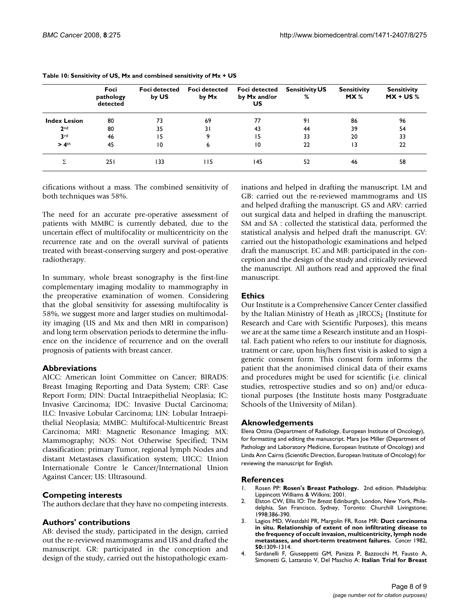|                     | Foci<br>pathology<br>detected | <b>Foci detected</b><br>by US | <b>Foci detected</b><br>by Mx | <b>Foci detected</b><br>by Mx and/or<br>US | <b>Sensitivity US</b><br>% | <b>Sensitivity</b><br>MX % | <b>Sensitivity</b><br>$MX + US %$ |
|---------------------|-------------------------------|-------------------------------|-------------------------------|--------------------------------------------|----------------------------|----------------------------|-----------------------------------|
| <b>Index Lesion</b> | 80                            | 73                            | 69                            | 77                                         | 91                         | 86                         | 96                                |
| 2 <sub>nd</sub>     | 80                            | 35                            | 31                            | 43                                         | 44                         | 39                         | 54                                |
| 3 <sup>rd</sup>     | 46                            | 15                            | 9                             | 15                                         | 33                         | 20                         | 33                                |
| $> 4$ th            | 45                            | 10                            | 6                             | $\overline{10}$                            | 22                         | 13                         | 22                                |
|                     | 25 I                          | 133                           | 115                           | 145                                        | 52                         | 46                         | 58                                |

#### **Table 10: Sensitivity of US, Mx and combined sensitivity of Mx + US**

cifications without a mass. The combined sensitivity of both techniques was 58%.

The need for an accurate pre-operative assessment of patients with MMBC is currently debated, due to the uncertain effect of multifocality or multicentricity on the recurrence rate and on the overall survival of patients treated with breast-conserving surgery and post-operative radiotherapy.

In summary, whole breast sonography is the first-line complementary imaging modality to mammography in the preoperative examination of women. Considering that the global sensitivity for assessing multifocality is 58%, we suggest more and larger studies on multimodality imaging (US and Mx and then MRI in comparison) and long term observation periods to determine the influence on the incidence of recurrence and on the overall prognosis of patients with breast cancer.

### **Abbreviations**

AJCC: American Joint Committee on Cancer; BIRADS: Breast Imaging Reporting and Data System; CRF: Case Report Form; DIN: Ductal Intraepithelial Neoplasia; IC: Invasive Carcinoma; IDC: Invasive Ductal Carcinoma; ILC: Invasive Lobular Carcinoma; LIN: Lobular Intraepithelial Neoplasia; MMBC: Multifocal-Multicentric Breast Carcinoma; MRI: Magnetic Resonance Imaging; MX: Mammography; NOS: Not Otherwise Specified; TNM classification: primary Tumor, regional lymph Nodes and distant Metastases classification system; UICC: Union Internationale Contre le Cancer/International Union Against Cancer; US: Ultrasound.

# **Competing interests**

The authors declare that they have no competing interests.

### **Authors' contributions**

AB: devised the study, participated in the design, carried out the re-reviewed mammograms and US and drafted the manuscript. GR: participated in the conception and design of the study, carried out the histopathologic examinations and helped in drafting the manuscript. LM and GB: carried out the re-reviewed mammograms and US and helped drafting the manuscript. GS and ARV: carried out surgical data and helped in drafting the manuscript. SM and SA : collected the statistical data, performed the statistical analysis and helped draft the manuscript. GV: carried out the histopathologic examinations and helped draft the manuscript. EC and MB: participated in the conception and the design of the study and critically reviewed the manuscript. All authors read and approved the final manuscript.

## **Ethics**

Our Institute is a Comprehensive Cancer Center classified by the Italian Ministry of Heath as ¿IRCCS¿ (Institute for Research and Care with Scientific Purposes), this means we are at the same time a Research institute and an Hospital. Each patient who refers to our institute for diagnosis, tratment or care, upon his/hers first visit is asked to sign a generic consent form. This consent form informs the patient that the anonimised clinical data of their exams and procedures might be used for scientific (i.e. clinical studies, retrospective studies and so on) and/or educational purposes (the Institute hosts many Postgraduate Schools of the University of Milan).

### **Aknowledgements**

Elena Ottina (Department of Radiology, European Institute of Oncology), for formatting and editing the manuscript. Mara Joe Miller (Department of Pathology and Laboratory Medicine, European Institute of Oncology) and Linda Ann Cairns (Scientific Direction, European Institute of Oncology) for reviewing the manuscript for English.

### **References**

- 1. Rosen PP: **Rosen's Breast Pathology.** 2nd edition. Philadelphia: Lippincott Williams & Wilkins; 2001.
- 2. Elston CW, Ellis IO: *The Breast* Edinburgh, London, New York, Philadelphia, San Francisco, Sydney, Toronto: Churchill Livingstone; 1998:386-390.
- 3. Lagios MD, Westdahl PR, Margolin FR, Rose MR: **[Duct carcinoma](http://www.ncbi.nlm.nih.gov/entrez/query.fcgi?cmd=Retrieve&db=PubMed&dopt=Abstract&list_uids=6286091) [in situ. Relationship of extent of non infiltrating disease to](http://www.ncbi.nlm.nih.gov/entrez/query.fcgi?cmd=Retrieve&db=PubMed&dopt=Abstract&list_uids=6286091) the frequency of occult invasion, multicentricity, lymph node [metastases, and short-term treatment failures.](http://www.ncbi.nlm.nih.gov/entrez/query.fcgi?cmd=Retrieve&db=PubMed&dopt=Abstract&list_uids=6286091)** *Cancer* 1982, **50:**1309-1314.
- 4. Sardanelli F, Giuseppetti GM, Panizza P, Bazzocchi M, Fausto A, Simonetti G, Lattanzio V, Del Maschio A: **[Italian Trial for Breast](http://www.ncbi.nlm.nih.gov/entrez/query.fcgi?cmd=Retrieve&db=PubMed&dopt=Abstract&list_uids=15385322)**